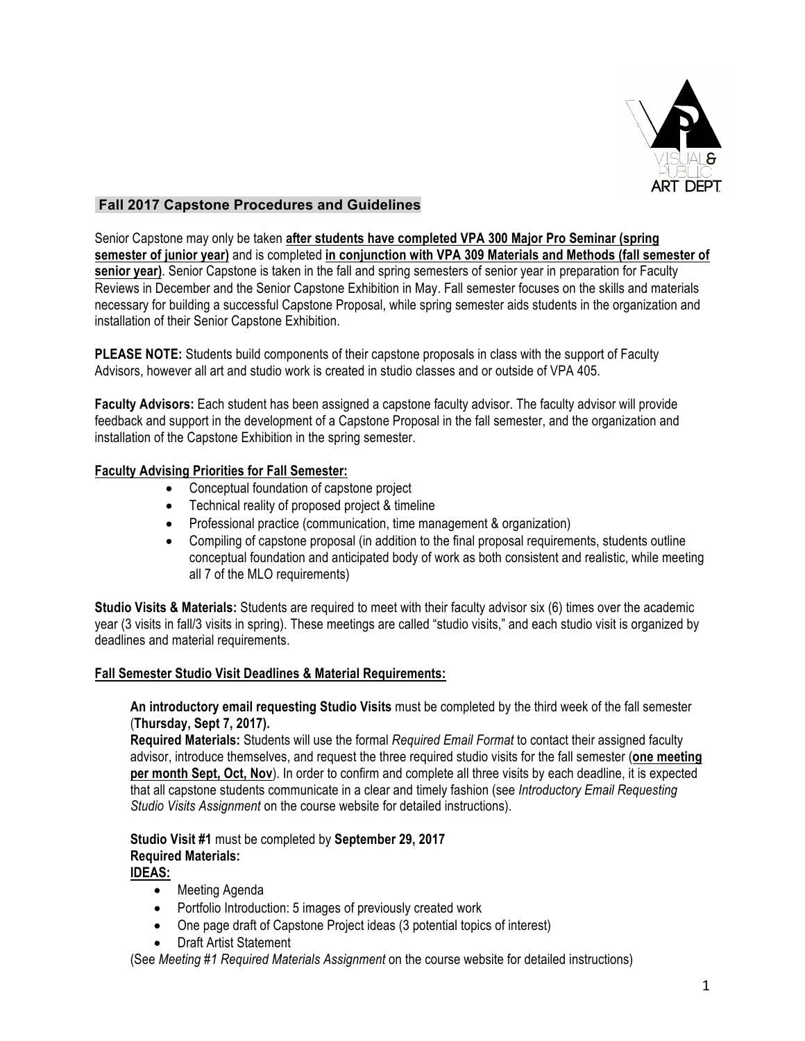

## **Fall 2017 Capstone Procedures and Guidelines**

Senior Capstone may only be taken **after students have completed VPA 300 Major Pro Seminar (spring semester of junior year)** and is completed **in conjunction with VPA 309 Materials and Methods (fall semester of senior year)**. Senior Capstone is taken in the fall and spring semesters of senior year in preparation for Faculty Reviews in December and the Senior Capstone Exhibition in May. Fall semester focuses on the skills and materials necessary for building a successful Capstone Proposal, while spring semester aids students in the organization and installation of their Senior Capstone Exhibition.

**PLEASE NOTE:** Students build components of their capstone proposals in class with the support of Faculty Advisors, however all art and studio work is created in studio classes and or outside of VPA 405.

**Faculty Advisors:** Each student has been assigned a capstone faculty advisor. The faculty advisor will provide feedback and support in the development of a Capstone Proposal in the fall semester, and the organization and installation of the Capstone Exhibition in the spring semester.

### **Faculty Advising Priorities for Fall Semester:**

- Conceptual foundation of capstone project
- Technical reality of proposed project & timeline
- Professional practice (communication, time management & organization)
- Compiling of capstone proposal (in addition to the final proposal requirements, students outline conceptual foundation and anticipated body of work as both consistent and realistic, while meeting all 7 of the MLO requirements)

**Studio Visits & Materials:** Students are required to meet with their faculty advisor six (6) times over the academic year (3 visits in fall/3 visits in spring). These meetings are called "studio visits," and each studio visit is organized by deadlines and material requirements.

### **Fall Semester Studio Visit Deadlines & Material Requirements:**

### **An introductory email requesting Studio Visits** must be completed by the third week of the fall semester (**Thursday, Sept 7, 2017).**

**Required Materials:** Students will use the formal *Required Email Format* to contact their assigned faculty advisor, introduce themselves, and request the three required studio visits for the fall semester (**one meeting per month Sept, Oct, Nov**). In order to confirm and complete all three visits by each deadline, it is expected that all capstone students communicate in a clear and timely fashion (see *Introductory Email Requesting Studio Visits Assignment* on the course website for detailed instructions).

# **Studio Visit #1** must be completed by **September 29, 2017 Required Materials:**

- **IDEAS:**
	- Meeting Agenda
	- Portfolio Introduction: 5 images of previously created work
	- One page draft of Capstone Project ideas (3 potential topics of interest)
	- Draft Artist Statement

(See *Meeting #1 Required Materials Assignment* on the course website for detailed instructions)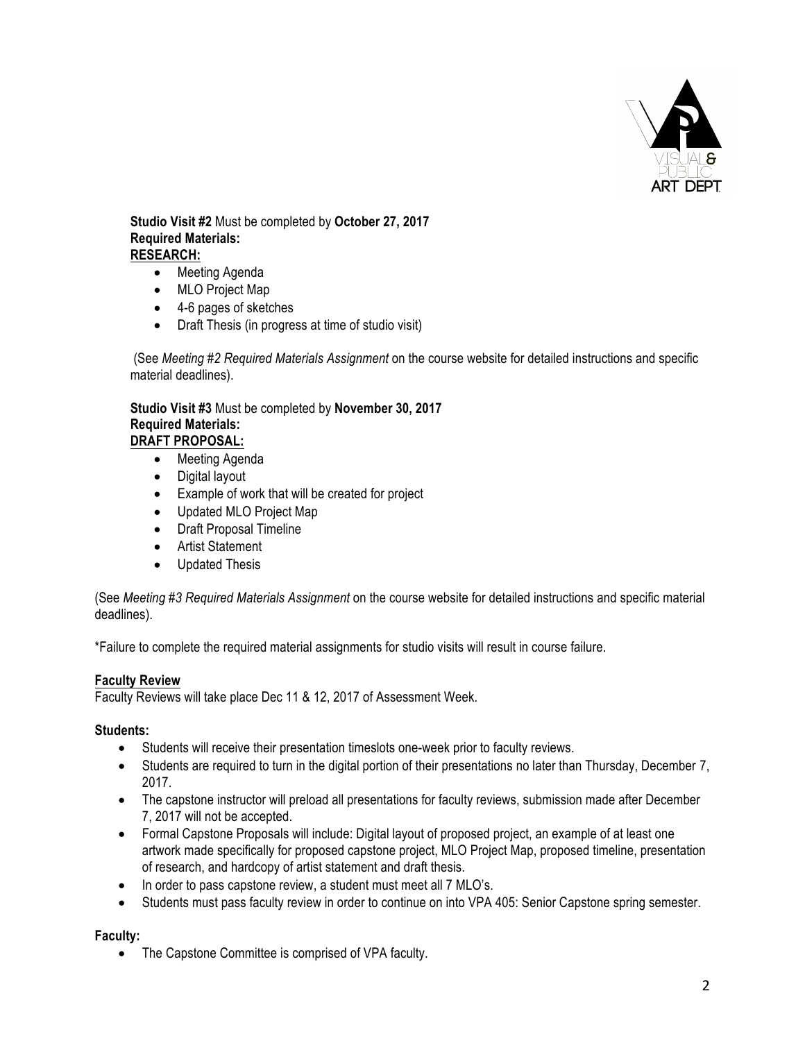

**Studio Visit #2** Must be completed by **October 27, 2017 Required Materials: RESEARCH:**

- Meeting Agenda
- MLO Project Map
- 4-6 pages of sketches
- Draft Thesis (in progress at time of studio visit)

(See *Meeting #2 Required Materials Assignment* on the course website for detailed instructions and specific material deadlines).

**Studio Visit #3** Must be completed by **November 30, 2017 Required Materials: DRAFT PROPOSAL:**

- Meeting Agenda
- Digital layout
- Example of work that will be created for project
- Updated MLO Project Map
- Draft Proposal Timeline
- Artist Statement
- Updated Thesis

(See *Meeting #3 Required Materials Assignment* on the course website for detailed instructions and specific material deadlines).

\*Failure to complete the required material assignments for studio visits will result in course failure.

### **Faculty Review**

Faculty Reviews will take place Dec 11 & 12, 2017 of Assessment Week.

#### **Students:**

- Students will receive their presentation timeslots one-week prior to faculty reviews.
- Students are required to turn in the digital portion of their presentations no later than Thursday, December 7, 2017.
- The capstone instructor will preload all presentations for faculty reviews, submission made after December 7, 2017 will not be accepted.
- Formal Capstone Proposals will include: Digital layout of proposed project, an example of at least one artwork made specifically for proposed capstone project, MLO Project Map, proposed timeline, presentation of research, and hardcopy of artist statement and draft thesis.
- In order to pass capstone review, a student must meet all 7 MLO's.
- Students must pass faculty review in order to continue on into VPA 405: Senior Capstone spring semester.

### **Faculty:**

• The Capstone Committee is comprised of VPA faculty.